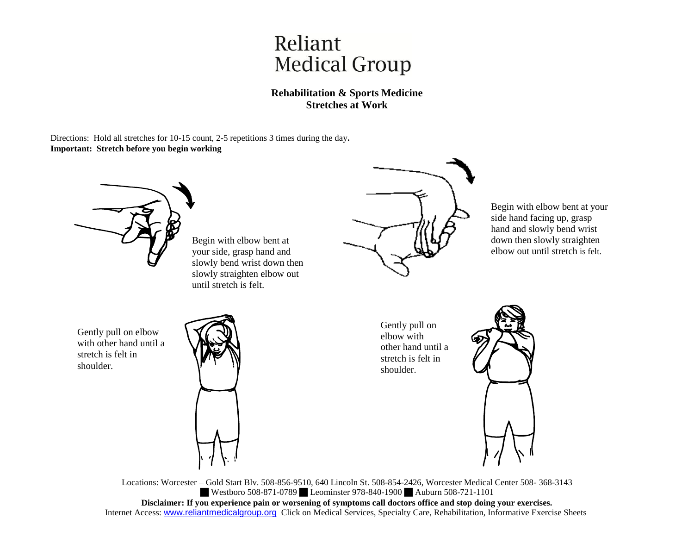## Reliant **Medical Group**

## **Rehabilitation & Sports Medicine Stretches at Work**

Directions: Hold all stretches for 10-15 count, 2-5 repetitions 3 times during the day**. Important: Stretch before you begin working**



Locations: Worcester – Gold Start Blv. 508-856-9510, 640 Lincoln St. 508-854-2426, Worcester Medical Center 508- 368-3143 Westboro 508-871-0789 Leominster 978-840-1900 Auburn 508-721-1101 **Disclaimer: If you experience pain or worsening of symptoms call doctors office and stop doing your exercises.** Internet Access: www.reliantmedicalgroup.org Click on Medical Services, Specialty Care, Rehabilitation, Informative Exercise Sheets

Begin with elbow bent at your side hand facing up, grasp hand and slowly bend wrist down then slowly straighten elbow out until stretch is felt.